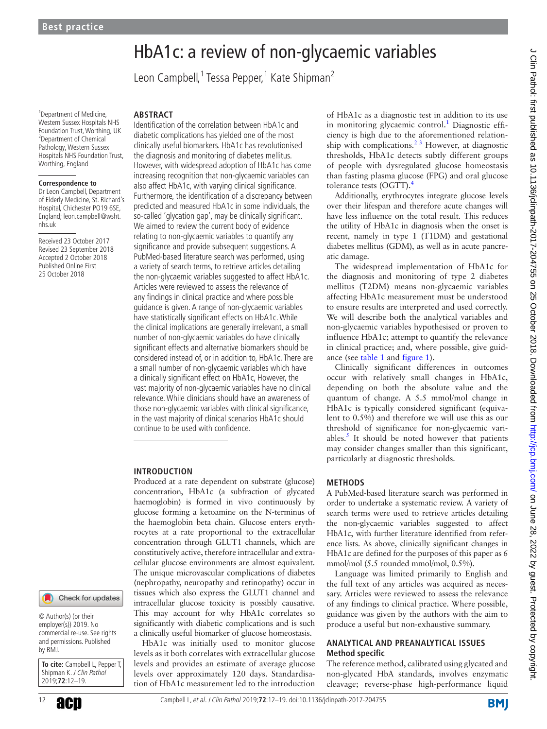# HbA1c: a review of non-glycaemic variables

Leon Campbell,<sup>1</sup> Tessa Pepper,<sup>1</sup> Kate Shipman<sup>2</sup>

<sup>1</sup> Department of Medicine, Western Sussex Hospitals NHS Foundation Trust, Worthing, UK <sup>2</sup>Department of Chemical Pathology, Western Sussex Hospitals NHS Foundation Trust, Worthing, England

#### **Correspondence to**

Dr Leon Campbell, Department of Elderly Medicine, St. Richard's Hospital, Chichester PO19 6SE, England; leon.campbell@wsht. nhs.uk

Received 23 October 2017 Revised 23 September 2018 Accepted 2 October 2018 Published Online First 25 October 2018

## **Abstract**

Identification of the correlation between HbA1c and diabetic complications has yielded one of the most clinically useful biomarkers. HbA1c has revolutionised the diagnosis and monitoring of diabetes mellitus. However, with widespread adoption of HbA1c has come increasing recognition that non-glycaemic variables can also affect HbA1c, with varying clinical significance. Furthermore, the identification of a discrepancy between predicted and measured HbA1c in some individuals, the so-called 'glycation gap', may be clinically significant. We aimed to review the current body of evidence relating to non-glycaemic variables to quantify any significance and provide subsequent suggestions. A PubMed-based literature search was performed, using a variety of search terms, to retrieve articles detailing the non-glycaemic variables suggested to affect HbA1c. Articles were reviewed to assess the relevance of any findings in clinical practice and where possible guidance is given. A range of non-glycaemic variables have statistically significant effects on HbA1c. While the clinical implications are generally irrelevant, a small number of non-glycaemic variables do have clinically significant effects and alternative biomarkers should be considered instead of, or in addition to, HbA1c. There are a small number of non-glycaemic variables which have a clinically significant effect on HbA1c, However, the vast majority of non-glycaemic variables have no clinical relevance. While clinicians should have an awareness of those non-glycaemic variables with clinical significance, in the vast majority of clinical scenarios HbA1c should continue to be used with confidence.

#### **Introduction**

Produced at a rate dependent on substrate (glucose) concentration, HbA1c (a subfraction of glycated haemoglobin) is formed in vivo continuously by glucose forming a ketoamine on the N-terminus of the haemoglobin beta chain. Glucose enters erythrocytes at a rate proportional to the extracellular concentration through GLUT1 channels, which are constitutively active, therefore intracellular and extracellular glucose environments are almost equivalent. The unique microvascular complications of diabetes (nephropathy, neuropathy and retinopathy) occur in tissues which also express the GLUT1 channel and intracellular glucose toxicity is possibly causative. This may account for why HbA1c correlates so significantly with diabetic complications and is such a clinically useful biomarker of glucose homeostasis.

HbA1c was initially used to monitor glucose levels as it both correlates with extracellular glucose levels and provides an estimate of average glucose levels over approximately 120 days. Standardisation of HbA1c measurement led to the introduction

of HbA1c as a diagnostic test in addition to its use in monitoring glycaemic control.<sup>[1](#page-6-0)</sup> Diagnostic efficiency is high due to the aforementioned relationship with complications.<sup>2 3</sup> However, at diagnostic thresholds, HbA1c detects subtly different groups of people with dysregulated glucose homeostasis than fasting plasma glucose (FPG) and oral glucose tolerance tests (OGTT).<sup>[4](#page-6-2)</sup>

Additionally, erythrocytes integrate glucose levels over their lifespan and therefore acute changes will have less influence on the total result. This reduces the utility of HbA1c in diagnosis when the onset is recent, namely in type 1 (T1DM) and gestational diabetes mellitus (GDM), as well as in acute pancreatic damage.

The widespread implementation of HbA1c for the diagnosis and monitoring of type 2 diabetes mellitus (T2DM) means non-glycaemic variables affecting HbA1c measurement must be understood to ensure results are interpreted and used correctly. We will describe both the analytical variables and non-glycaemic variables hypothesised or proven to influence HbA1c; attempt to quantify the relevance in clinical practice; and, where possible, give guidance (see [table](#page-1-0) 1 and [figure](#page-2-0) 1).

Clinically significant differences in outcomes occur with relatively small changes in HbA1c, depending on both the absolute value and the quantum of change. A 5.5 mmol/mol change in HbA1c is typically considered significant (equivalent to 0.5%) and therefore we will use this as our threshold of significance for non-glycaemic variables. $<sup>5</sup>$  $<sup>5</sup>$  $<sup>5</sup>$  It should be noted however that patients</sup> may consider changes smaller than this significant, particularly at diagnostic thresholds.

#### **Methods**

A PubMed-based literature search was performed in order to undertake a systematic review. A variety of search terms were used to retrieve articles detailing the non-glycaemic variables suggested to affect HbA1c, with further literature identified from reference lists. As above, clinically significant changes in HbA1c are defined for the purposes of this paper as 6 mmol/mol (5.5 rounded mmol/mol, 0.5%).

Language was limited primarily to English and the full text of any articles was acquired as necessary. Articles were reviewed to assess the relevance of any findings to clinical practice. Where possible, guidance was given by the authors with the aim to produce a useful but non-exhaustive summary.

## **Analytical and preanalytical issues Method specific**

The reference method, calibrated using glycated and non-glycated HbA standards, involves enzymatic cleavage; reverse-phase high-performance liquid

Check for updates

© Author(s) (or their employer(s)) 2019. No commercial re-use. See rights and permissions. Published by BMJ.

**To cite:** Campbell L, Pepper T, Shipman K. J Clin Pathol 2019;**72**:12–19.

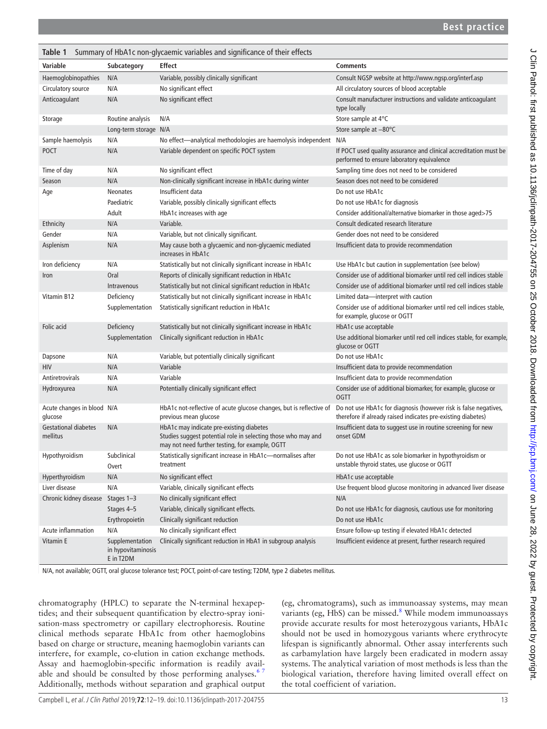<span id="page-1-0"></span>

| Summary of HbA1c non-glycaemic variables and significance of their effects<br>Table 1 |                                                    |                                                                                                                                                              |                                                                                                                                  |
|---------------------------------------------------------------------------------------|----------------------------------------------------|--------------------------------------------------------------------------------------------------------------------------------------------------------------|----------------------------------------------------------------------------------------------------------------------------------|
| <b>Variable</b>                                                                       | Subcategory                                        | <b>Effect</b>                                                                                                                                                | <b>Comments</b>                                                                                                                  |
| Haemoglobinopathies                                                                   | N/A                                                | Variable, possibly clinically significant                                                                                                                    | Consult NGSP website at http://www.ngsp.org/interf.asp                                                                           |
| Circulatory source                                                                    | N/A                                                | No significant effect                                                                                                                                        | All circulatory sources of blood acceptable                                                                                      |
| Anticoagulant                                                                         | N/A                                                | No significant effect                                                                                                                                        | Consult manufacturer instructions and validate anticoagulant<br>type locally                                                     |
| Storage                                                                               | Routine analysis                                   | N/A                                                                                                                                                          | Store sample at 4°C                                                                                                              |
|                                                                                       | Long-term storage N/A                              |                                                                                                                                                              | Store sample at -80°C                                                                                                            |
| Sample haemolysis                                                                     | N/A                                                | No effect-analytical methodologies are haemolysis independent N/A                                                                                            |                                                                                                                                  |
| <b>POCT</b>                                                                           | N/A                                                | Variable dependent on specific POCT system                                                                                                                   | If POCT used quality assurance and clinical accreditation must be<br>performed to ensure laboratory equivalence                  |
| Time of day                                                                           | N/A                                                | No significant effect                                                                                                                                        | Sampling time does not need to be considered                                                                                     |
| Season                                                                                | N/A                                                | Non-clinically significant increase in HbA1c during winter                                                                                                   | Season does not need to be considered                                                                                            |
| Age                                                                                   | <b>Neonates</b>                                    | Insufficient data                                                                                                                                            | Do not use HbA1c                                                                                                                 |
|                                                                                       | Paediatric                                         | Variable, possibly clinically significant effects                                                                                                            | Do not use HbA1c for diagnosis                                                                                                   |
|                                                                                       | Adult                                              | HbA1c increases with age                                                                                                                                     | Consider additional/alternative biomarker in those aged>75                                                                       |
| Ethnicity                                                                             | N/A                                                | Variable.                                                                                                                                                    | Consult dedicated research literature                                                                                            |
| Gender                                                                                | N/A                                                | Variable, but not clinically significant.                                                                                                                    | Gender does not need to be considered                                                                                            |
| Asplenism                                                                             | N/A                                                | May cause both a glycaemic and non-glycaemic mediated<br>increases in HbA1c                                                                                  | Insufficient data to provide recommendation                                                                                      |
| Iron deficiency                                                                       | N/A                                                | Statistically but not clinically significant increase in HbA1c                                                                                               | Use HbA1c but caution in supplementation (see below)                                                                             |
| Iron                                                                                  | Oral                                               | Reports of clinically significant reduction in HbA1c                                                                                                         | Consider use of additional biomarker until red cell indices stable                                                               |
|                                                                                       | Intravenous                                        | Statistically but not clinical significant reduction in HbA1c                                                                                                | Consider use of additional biomarker until red cell indices stable                                                               |
| Vitamin B12                                                                           | Deficiency                                         | Statistically but not clinically significant increase in HbA1c                                                                                               | Limited data-interpret with caution                                                                                              |
|                                                                                       | Supplementation                                    | Statistically significant reduction in HbA1c                                                                                                                 | Consider use of additional biomarker until red cell indices stable,<br>for example, glucose or OGTT                              |
| Folic acid                                                                            | Deficiency                                         | Statistically but not clinically significant increase in HbA1c                                                                                               | HbA1c use acceptable                                                                                                             |
|                                                                                       | Supplementation                                    | Clinically significant reduction in HbA1c                                                                                                                    | Use additional biomarker until red cell indices stable, for example,<br>glucose or OGTT                                          |
| Dapsone                                                                               | N/A                                                | Variable, but potentially clinically significant                                                                                                             | Do not use HbA1c                                                                                                                 |
| HIV                                                                                   | N/A                                                | Variable                                                                                                                                                     | Insufficient data to provide recommendation                                                                                      |
| Antiretrovirals                                                                       | N/A                                                | Variable                                                                                                                                                     | Insufficient data to provide recommendation                                                                                      |
| Hydroxyurea                                                                           | N/A                                                | Potentially clinically significant effect                                                                                                                    | Consider use of additional biomarker, for example, glucose or<br><b>OGTT</b>                                                     |
| Acute changes in blood N/A<br>glucose                                                 |                                                    | HbA1c not-reflective of acute glucose changes, but is reflective of<br>previous mean glucose                                                                 | Do not use HbA1c for diagnosis (however risk is false negatives,<br>therefore if already raised indicates pre-existing diabetes) |
| <b>Gestational diabetes</b><br>mellitus                                               | N/A                                                | HbA1c may indicate pre-existing diabetes<br>Studies suggest potential role in selecting those who may and<br>may not need further testing, for example, OGTT | Insufficient data to suggest use in routine screening for new<br>onset GDM                                                       |
| Hypothyroidism                                                                        | Subclinical<br>Overt                               | Statistically significant increase in HbA1c-normalises after<br>treatment                                                                                    | Do not use HbA1c as sole biomarker in hypothyroidism or<br>unstable thyroid states, use glucose or OGTT                          |
| Hyperthyroidism                                                                       | N/A                                                | No significant effect                                                                                                                                        | HbA1c use acceptable                                                                                                             |
| Liver disease                                                                         | N/A                                                | Variable, clinically significant effects                                                                                                                     | Use frequent blood glucose monitoring in advanced liver disease                                                                  |
| Chronic kidney disease                                                                | Stages 1-3                                         | No clinically significant effect                                                                                                                             | N/A                                                                                                                              |
|                                                                                       | Stages 4-5                                         | Variable, clinically significant effects.                                                                                                                    | Do not use HbA1c for diagnosis, cautious use for monitoring                                                                      |
|                                                                                       | Erythropoietin                                     | Clinically significant reduction                                                                                                                             | Do not use HbA1c                                                                                                                 |
| Acute inflammation                                                                    | N/A                                                | No clinically significant effect                                                                                                                             | Ensure follow-up testing if elevated HbA1c detected                                                                              |
| Vitamin E                                                                             | Supplementation<br>in hypovitaminosis<br>E in T2DM | Clinically significant reduction in HbA1 in subgroup analysis                                                                                                | Insufficient evidence at present, further research required                                                                      |

N/A, not available; OGTT, oral glucose tolerance test; POCT, point-of-care testing; T2DM, type 2 diabetes mellitus.

chromatography (HPLC) to separate the N-terminal hexapeptides; and their subsequent quantification by electro-spray ionisation-mass spectrometry or capillary electrophoresis. Routine clinical methods separate HbA1c from other haemoglobins based on charge or structure, meaning haemoglobin variants can interfere, for example, co-elution in cation exchange methods. Assay and haemoglobin-specific information is readily available and should be consulted by those performing analyses. $67$ Additionally, methods without separation and graphical output

(eg, chromatograms), such as immunoassay systems, may mean variants (eg, HbS) can be missed.<sup>[8](#page-6-5)</sup> While modem immunoassays provide accurate results for most heterozygous variants, HbA1c should not be used in homozygous variants where erythrocyte lifespan is significantly abnormal. Other assay interferents such as carbamylation have largely been eradicated in modern assay systems. The analytical variation of most methods is less than the biological variation, therefore having limited overall effect on the total coefficient of variation.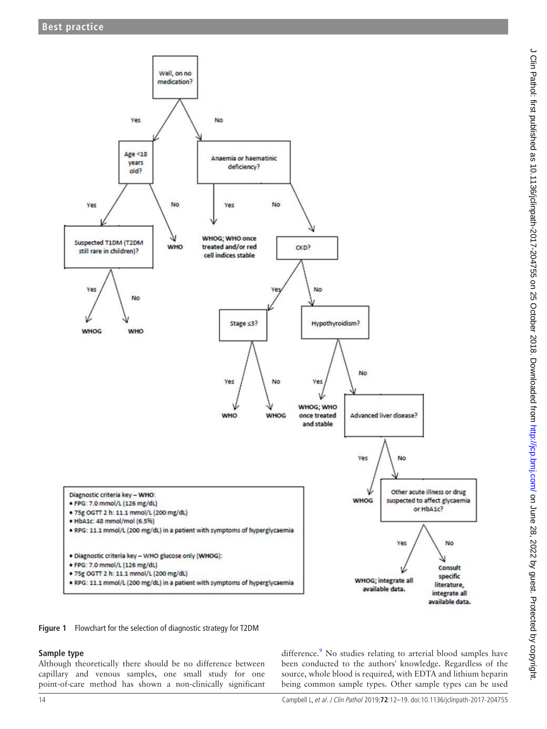

J Clin Pathol: first published as 10.1136/jclinpath-2017-204755 on 25 October 2018. Downloaded from http://jcp.bmj.com/ on June 28, 2022 by guest. Protected by copyright. J Clin Pathol: first published as 10.1136/jclinpath-2017-204755 on 25 October 2018. Downloaded from <http://jcp.bmj.com/> on June 28, 2022 by guest. Protected by copyright.

<span id="page-2-0"></span>**Figure 1** Flowchart for the selection of diagnostic strategy for T2DM

## **Sample type**

Although theoretically there should be no difference between capillary and venous samples, one small study for one point-of-care method has shown a non-clinically significant

difference.<sup>[9](#page-6-6)</sup> No studies relating to arterial blood samples have been conducted to the authors' knowledge. Regardless of the source, whole blood is required, with EDTA and lithium heparin being common sample types. Other sample types can be used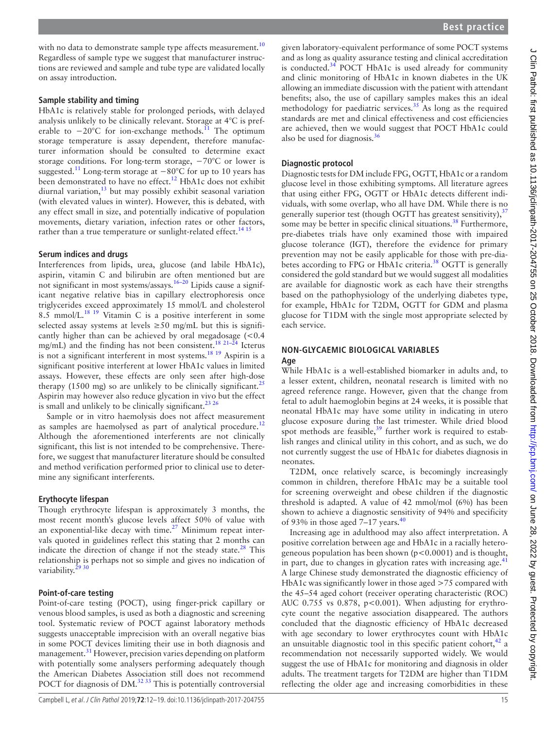with no data to demonstrate sample type affects measurement.<sup>[10](#page-6-7)</sup> Regardless of sample type we suggest that manufacturer instructions are reviewed and sample and tube type are validated locally on assay introduction.

#### **Sample stability and timing**

HbA1c is relatively stable for prolonged periods, with delayed analysis unlikely to be clinically relevant. Storage at 4°C is preferable to  $-20^{\circ}$ C for ion-exchange methods.<sup>11</sup> The optimum storage temperature is assay dependent, therefore manufacturer information should be consulted to determine exact storage conditions. For long-term storage, −70°C or lower is suggested.<sup>[11](#page-6-8)</sup> Long-term storage at  $-80^{\circ}$ C for up to 10 years has been demonstrated to have no effect.<sup>12</sup> HbA1c does not exhibit diurnal variation, $^{13}$  $^{13}$  $^{13}$  but may possibly exhibit seasonal variation (with elevated values in winter). However, this is debated, with any effect small in size, and potentially indicative of population movements, dietary variation, infection rates or other factors, rather than a true temperature or sunlight-related effect.<sup>14 15</sup>

#### **Serum indices and drugs**

Interferences from lipids, urea, glucose (and labile HbA1c), aspirin, vitamin C and bilirubin are often mentioned but are not significant in most systems/assays.[16–20](#page-6-12) Lipids cause a significant negative relative bias in capillary electrophoresis once triglycerides exceed approximately 15 mmol/L and cholesterol 8.5 mmol/L.[18 19](#page-6-13) Vitamin C is a positive interferent in some selected assay systems at levels  $\geq 50$  mg/mL but this is significantly higher than can be achieved by oral megadosage  $(< 0.4$ mg/mL) and the finding has not been consistent[.18 21–24](#page-6-13) Icterus is not a significant interferent in most systems.<sup>18</sup> <sup>19</sup> Aspirin is a significant positive interferent at lower HbA1c values in limited assays. However, these effects are only seen after high-dose therapy (1500 mg) so are unlikely to be clinically significant.<sup>[25](#page-6-14)</sup> Aspirin may however also reduce glycation in vivo but the effect is small and unlikely to be clinically significant.<sup>23 26</sup>

Sample or in vitro haemolysis does not affect measurement as samples are haemolysed as part of analytical procedure.<sup>[12](#page-6-9)</sup> Although the aforementioned interferents are not clinically significant, this list is not intended to be comprehensive. Therefore, we suggest that manufacturer literature should be consulted and method verification performed prior to clinical use to determine any significant interferents.

#### **Erythocyte lifespan**

Though erythrocyte lifespan is approximately 3 months, the most recent month's glucose levels affect 50% of value with an exponential-like decay with time. $27$  Minimum repeat intervals quoted in guidelines reflect this stating that 2 months can indicate the direction of change if not the steady state. $28$  This relationship is perhaps not so simple and gives no indication of variability. $2$ <sup>2</sup>

#### **Point-of-care testing**

Point-of-care testing (POCT), using finger-prick capillary or venous blood samples, is used as both a diagnostic and screening tool. Systematic review of POCT against laboratory methods suggests unacceptable imprecision with an overall negative bias in some POCT devices limiting their use in both diagnosis and management.<sup>[31](#page-6-19)</sup> However, precision varies depending on platform with potentially some analysers performing adequately though the American Diabetes Association still does not recommend POCT for diagnosis of  $DM<sup>3233</sup>$  This is potentially controversial

given laboratory-equivalent performance of some POCT systems and as long as quality assurance testing and clinical accreditation is conducted. $34$  POCT HbA1c is used already for community and clinic monitoring of HbA1c in known diabetes in the UK allowing an immediate discussion with the patient with attendant benefits; also, the use of capillary samples makes this an ideal methodology for paediatric services.[35](#page-6-22) As long as the required standards are met and clinical effectiveness and cost efficiencies are achieved, then we would suggest that POCT HbA1c could also be used for diagnosis[.36](#page-6-23)

## **Diagnostic protocol**

Diagnostic tests for DM include FPG, OGTT, HbA1c or a random glucose level in those exhibiting symptoms. All literature agrees that using either FPG, OGTT or HbA1c detects different individuals, with some overlap, who all have DM. While there is no generally superior test (though OGTT has greatest sensitivity), $37$ some may be better in specific clinical situations.<sup>[38](#page-6-25)</sup> Furthermore, pre-diabetes trials have only examined those with impaired glucose tolerance (IGT), therefore the evidence for primary prevention may not be easily applicable for those with pre-diabetes according to FPG or HbA1c criteria.<sup>38</sup> OGTT is generally considered the gold standard but we would suggest all modalities are available for diagnostic work as each have their strengths based on the pathophysiology of the underlying diabetes type, for example, HbA1c for T2DM, OGTT for GDM and plasma glucose for T1DM with the single most appropriate selected by each service.

## **Non-glycaemic biological variables**

#### **Age**

While HbA1c is a well-established biomarker in adults and, to a lesser extent, children, neonatal research is limited with no agreed reference range. However, given that the change from fetal to adult haemoglobin begins at 24 weeks, it is possible that neonatal HbA1c may have some utility in indicating in utero glucose exposure during the last trimester. While dried blood spot methods are feasible, $39$  further work is required to establish ranges and clinical utility in this cohort, and as such, we do not currently suggest the use of HbA1c for diabetes diagnosis in neonates.

T2DM, once relatively scarce, is becomingly increasingly common in children, therefore HbA1c may be a suitable tool for screening overweight and obese children if the diagnostic threshold is adapted. A value of 42 mmol/mol (6%) has been shown to achieve a diagnostic sensitivity of 94% and specificity of 93% in those aged 7–17 years. $40$ 

Increasing age in adulthood may also affect interpretation. A positive correlation between age and HbA1c in a racially heterogeneous population has been shown  $(p<0.0001)$  and is thought, in part, due to changes in glycation rates with increasing age. $\pm$ A large Chinese study demonstrated the diagnostic efficiency of HbA1c was significantly lower in those aged >75 compared with the 45–54 aged cohort (receiver operating characteristic (ROC) AUC 0.755 vs 0.878, p<0.001). When adjusting for erythrocyte count the negative association disappeared. The authors concluded that the diagnostic efficiency of HbA1c decreased with age secondary to lower erythrocytes count with HbA1c an unsuitable diagnostic tool in this specific patient cohort,  $42$  a recommendation not necessarily supported widely. We would suggest the use of HbA1c for monitoring and diagnosis in older adults. The treatment targets for T2DM are higher than T1DM reflecting the older age and increasing comorbidities in these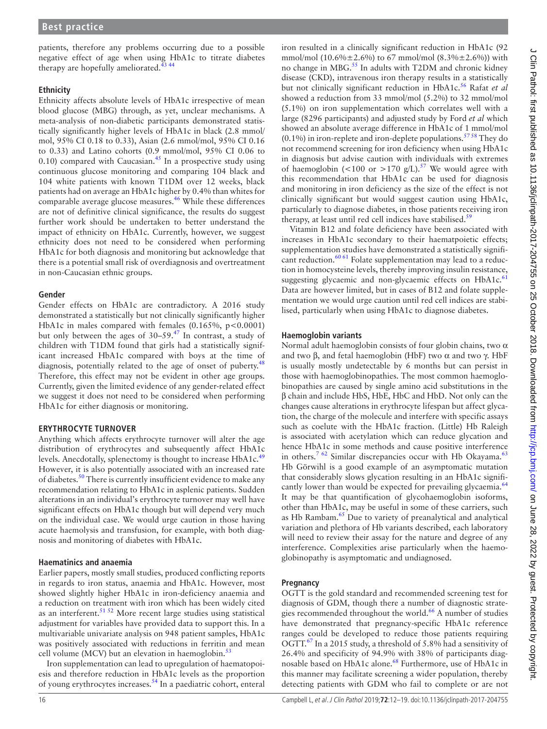patients, therefore any problems occurring due to a possible negative effect of age when using HbA1c to titrate diabetes therapy are hopefully ameliorated.<sup>4</sup>

#### **Ethnicity**

Ethnicity affects absolute levels of HbA1c irrespective of mean blood glucose (MBG) through, as yet, unclear mechanisms. A meta-analysis of non-diabetic participants demonstrated statistically significantly higher levels of HbA1c in black (2.8 mmol/ mol, 95% CI 0.18 to 0.33), Asian (2.6 mmol/mol, 95% CI 0.16 to 0.33) and Latino cohorts (0.9 mmol/mol, 95% CI 0.06 to 0.10) compared with Caucasian. $45$  In a prospective study using continuous glucose monitoring and comparing 104 black and 104 white patients with known T1DM over 12 weeks, black patients had on average an HbA1c higher by 0.4% than whites for comparable average glucose measures.<sup>[46](#page-7-3)</sup> While these differences are not of definitive clinical significance, the results do suggest further work should be undertaken to better understand the impact of ethnicity on HbA1c. Currently, however, we suggest ethnicity does not need to be considered when performing HbA1c for both diagnosis and monitoring but acknowledge that there is a potential small risk of overdiagnosis and overtreatment in non-Caucasian ethnic groups.

#### **Gender**

Gender effects on HbA1c are contradictory. A 2016 study demonstrated a statistically but not clinically significantly higher HbA1c in males compared with females  $(0.165\%, p < 0.0001)$ but only between the ages of 30–59.[47](#page-7-4) In contrast, a study of children with T1DM found that girls had a statistically significant increased HbA1c compared with boys at the time of diagnosis, potentially related to the age of onset of puberty.<sup>[48](#page-7-5)</sup> Therefore, this effect may not be evident in other age groups. Currently, given the limited evidence of any gender-related effect we suggest it does not need to be considered when performing HbA1c for either diagnosis or monitoring.

## **Erythrocyte turnover**

Anything which affects erythrocyte turnover will alter the age distribution of erythrocytes and subsequently affect HbA1c levels. Anecdotally, splenectomy is thought to increase HbA1c.<sup>[49](#page-7-6)</sup> However, it is also potentially associated with an increased rate of diabetes.<sup>[50](#page-7-7)</sup> There is currently insufficient evidence to make any recommendation relating to HbA1c in asplenic patients. Sudden alterations in an individual's erythrocyte turnover may well have significant effects on HbA1c though but will depend very much on the individual case. We would urge caution in those having acute haemolysis and transfusion, for example, with both diagnosis and monitoring of diabetes with HbA1c.

#### **Haematinics and anaemia**

Earlier papers, mostly small studies, produced conflicting reports in regards to iron status, anaemia and HbA1c. However, most showed slightly higher HbA1c in iron-deficiency anaemia and a reduction on treatment with iron which has been widely cited as an interferent.<sup>51 52</sup> More recent large studies using statistical adjustment for variables have provided data to support this. In a multivariable univariate analysis on 948 patient samples, HbA1c was positively associated with reductions in ferritin and mean cell volume (MCV) but an elevation in haemoglobin. $53$ 

Iron supplementation can lead to upregulation of haematopoiesis and therefore reduction in HbA1c levels as the proportion of young erythrocytes increases[.54](#page-7-10) In a paediatric cohort, enteral

iron resulted in a clinically significant reduction in HbA1c (92 mmol/mol (10.6% $\pm$ 2.6%) to 67 mmol/mol (8.3% $\pm$ 2.6%)) with no change in MBG.<sup>55</sup> In adults with T2DM and chronic kidney disease (CKD), intravenous iron therapy results in a statistically but not clinically significant reduction in HbA1c.<sup>56</sup> Rafat et al showed a reduction from 33 mmol/mol (5.2%) to 32 mmol/mol (5.1%) on iron supplementation which correlates well with a large (8296 participants) and adjusted study by Ford *et al* which showed an absolute average difference in HbA1c of 1 mmol/mol  $(0.1\%)$  in iron-replete and iron-deplete populations.<sup>57 58</sup> They do not recommend screening for iron deficiency when using HbA1c in diagnosis but advise caution with individuals with extremes of haemoglobin (<100 or >170 g/L).<sup>[57](#page-7-13)</sup> We would agree with this recommendation that HbA1c can be used for diagnosis and monitoring in iron deficiency as the size of the effect is not clinically significant but would suggest caution using HbA1c, particularly to diagnose diabetes, in those patients receiving iron therapy, at least until red cell indices have stabilised. $59$ 

Vitamin B12 and folate deficiency have been associated with increases in HbA1c secondary to their haematpoietic effects; supplementation studies have demonstrated a statistically significant reduction. $60\frac{61}{61}$  Folate supplementation may lead to a reduction in homocysteine levels, thereby improving insulin resistance, suggesting glycaemic and non-glycaemic effects on HbA1c.<sup>[61](#page-7-16)</sup> Data are however limited, but in cases of B12 and folate supplementation we would urge caution until red cell indices are stabilised, particularly when using HbA1c to diagnose diabetes.

## **Haemoglobin variants**

Normal adult haemoglobin consists of four globin chains, two  $\alpha$ and two β, and fetal haemoglobin (HbF) two  $\alpha$  and two γ. HbF is usually mostly undetectable by 6 months but can persist in those with haemoglobinopathies. The most common haemoglobinopathies are caused by single amino acid substitutions in the β chain and include HbS, HbE, HbC and HbD. Not only can the changes cause alterations in erythrocyte lifespan but affect glycation, the charge of the molecule and interfere with specific assays such as coelute with the HbA1c fraction. (Little) Hb Raleigh is associated with acetylation which can reduce glycation and hence HbA1c in some methods and cause positive interference in others.<sup>7 62</sup> Similar discrepancies occur with Hb Okayama.<sup>[63](#page-7-17)</sup> Hb Görwihl is a good example of an asymptomatic mutation that considerably slows glycation resulting in an HbA1c signifi-cantly lower than would be expected for prevailing glycaemia.<sup>[64](#page-7-18)</sup> It may be that quantification of glycohaemoglobin isoforms, other than HbA1c, may be useful in some of these carriers, such as Hb Rambam.<sup>65</sup> Due to variety of preanalytical and analytical variation and plethora of Hb variants described, each laboratory will need to review their assay for the nature and degree of any interference. Complexities arise particularly when the haemoglobinopathy is asymptomatic and undiagnosed.

## **Pregnancy**

OGTT is the gold standard and recommended screening test for diagnosis of GDM, though there a number of diagnostic strategies recommended throughout the world.<sup>66</sup> A number of studies have demonstrated that pregnancy-specific HbA1c reference ranges could be developed to reduce those patients requiring OGTT.<sup>67</sup> In a 2015 study, a threshold of 5.8% had a sensitivity of 26.4% and specificity of 94.9% with 38% of participants diag-nosable based on HbA1c alone.<sup>[68](#page-7-22)</sup> Furthermore, use of HbA1c in this manner may facilitate screening a wider population, thereby detecting patients with GDM who fail to complete or are not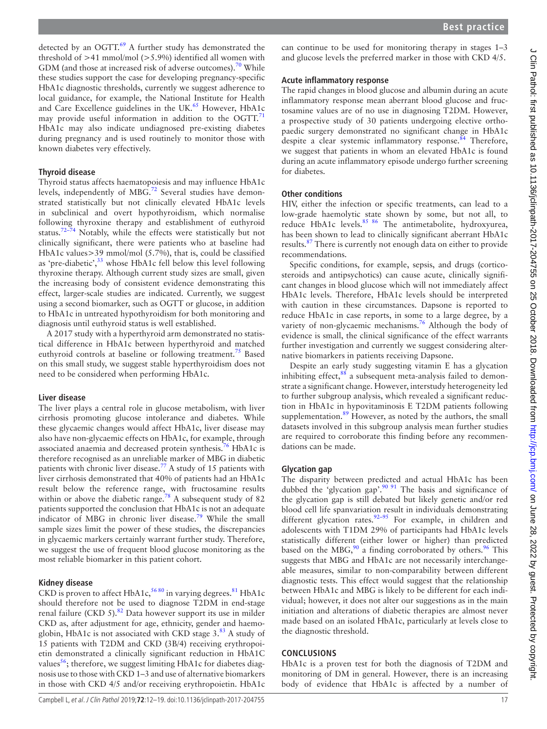detected by an OGTT.<sup>[69](#page-7-23)</sup> A further study has demonstrated the threshold of >41 mmol/mol (>5.9%) identified all women with GDM (and those at increased risk of adverse outcomes).<sup>[70](#page-7-24)</sup> While these studies support the case for developing pregnancy-specific HbA1c diagnostic thresholds, currently we suggest adherence to local guidance, for example, the National Institute for Health and Care Excellence guidelines in the UK.<sup>65</sup> However, HbA1c may provide useful information in addition to the  $OGTT$ .<sup>[71](#page-7-25)</sup> HbA1c may also indicate undiagnosed pre-existing diabetes during pregnancy and is used routinely to monitor those with known diabetes very effectively.

## **Thyroid disease**

Thyroid status affects haematopoiesis and may influence HbA1c levels, independently of MBG.<sup>[72](#page-7-26)</sup> Several studies have demonstrated statistically but not clinically elevated HbA1c levels in subclinical and overt hypothyroidism, which normalise following thyroxine therapy and establishment of euthyroid status[.72–74](#page-7-26) Notably, while the effects were statistically but not clinically significant, there were patients who at baseline had HbA1c values>39 mmol/mol (5.7%), that is, could be classified as 'pre-diabetic',<sup>[33](#page-6-30)</sup> whose HbA1c fell below this level following thyroxine therapy. Although current study sizes are small, given the increasing body of consistent evidence demonstrating this effect, larger-scale studies are indicated. Currently, we suggest using a second biomarker, such as OGTT or glucose, in addition to HbA1c in untreated hypothyroidism for both monitoring and diagnosis until euthyroid status is well established.

A 2017 study with a hyperthyroid arm demonstrated no statistical difference in HbA1c between hyperthyroid and matched euthyroid controls at baseline or following treatment.<sup>75</sup> Based on this small study, we suggest stable hyperthyroidism does not need to be considered when performing HbA1c.

## **Liver disease**

The liver plays a central role in glucose metabolism, with liver cirrhosis promoting glucose intolerance and diabetes. While these glycaemic changes would affect HbA1c, liver disease may also have non-glycaemic effects on HbA1c, for example, through associated anaemia and decreased protein synthesis.<sup>76</sup> HbA1c is therefore recognised as an unreliable marker of MBG in diabetic patients with chronic liver disease.<sup>[77](#page-7-29)</sup> A study of 15 patients with liver cirrhosis demonstrated that 40% of patients had an HbA1c result below the reference range, with fructosamine results within or above the diabetic range.<sup>78</sup> A subsequent study of 82 patients supported the conclusion that HbA1c is not an adequate indicator of MBG in chronic liver disease.<sup>79</sup> While the small sample sizes limit the power of these studies, the discrepancies in glycaemic markers certainly warrant further study. Therefore, we suggest the use of frequent blood glucose monitoring as the most reliable biomarker in this patient cohort.

## **Kidney disease**

CKD is proven to affect HbA1c,  $5680$  in varying degrees.  $81$  HbA1c should therefore not be used to diagnose T2DM in end-stage renal failure (CKD 5). $82$  Data however support its use in milder CKD as, after adjustment for age, ethnicity, gender and haemoglobin, HbA1c is not associated with CKD stage  $3.83$  A study of 15 patients with T2DM and CKD (3B/4) receiving erythropoietin demonstrated a clinically significant reduction in HbA1C values<sup>[56](#page-7-12)</sup>; therefore, we suggest limiting HbA1c for diabetes diagnosis use to those with CKD 1–3 and use of alternative biomarkers in those with CKD 4/5 and/or receiving erythropoietin. HbA1c

can continue to be used for monitoring therapy in stages 1–3 and glucose levels the preferred marker in those with CKD 4/5.

## **Acute inflammatory response**

The rapid changes in blood glucose and albumin during an acute inflammatory response mean aberrant blood glucose and fructosamine values are of no use in diagnosing T2DM. However, a prospective study of 30 patients undergoing elective orthopaedic surgery demonstrated no significant change in HbA1c despite a clear systemic inflammatory response.<sup>[84](#page-7-35)</sup> Therefore, we suggest that patients in whom an elevated HbA1c is found during an acute inflammatory episode undergo further screening for diabetes.

## **Other conditions**

HIV, either the infection or specific treatments, can lead to a low-grade haemolytic state shown by some, but not all, to reduce HbA1c levels.<sup>85 86</sup> The antimetabolite, hydroxyurea, has been shown to lead to clinically significant aberrant HbA1c results.[87](#page-7-37) There is currently not enough data on either to provide recommendations.

Specific conditions, for example, sepsis, and drugs (corticosteroids and antipsychotics) can cause acute, clinically significant changes in blood glucose which will not immediately affect HbA1c levels. Therefore, HbA1c levels should be interpreted with caution in these circumstances. Dapsone is reported to reduce HbA1c in case reports, in some to a large degree, by a variety of non-glycaemic mechanisms.<sup>[76](#page-7-28)</sup> Although the body of evidence is small, the clinical significance of the effect warrants further investigation and currently we suggest considering alternative biomarkers in patients receiving Dapsone.

Despite an early study suggesting vitamin E has a glycation inhibiting effect, $88$  a subsequent meta-analysis failed to demonstrate a significant change. However, interstudy heterogeneity led to further subgroup analysis, which revealed a significant reduction in HbA1c in hypovitaminosis E T2DM patients following supplementation.<sup>89</sup> However, as noted by the authors, the small datasets involved in this subgroup analysis mean further studies are required to corroborate this finding before any recommendations can be made.

## **Glycation gap**

The disparity between predicted and actual HbA1c has been dubbed the 'glycation gap'.<sup>90 91</sup> The basis and significance of the glycation gap is still debated but likely genetic and/or red blood cell life spanvariation result in individuals demonstrating different glycation rates.<sup>92-95</sup> For example, in children and adolescents with T1DM 29% of participants had HbA1c levels statistically different (either lower or higher) than predicted based on the MBG, $90$  a finding corroborated by others.<sup>96</sup> This suggests that MBG and HbA1c are not necessarily interchangeable measures, similar to non-comparability between different diagnostic tests. This effect would suggest that the relationship between HbA1c and MBG is likely to be different for each individual; however, it does not alter our suggestions as in the main initiation and alterations of diabetic therapies are almost never made based on an isolated HbA1c, particularly at levels close to the diagnostic threshold.

## **Conclusions**

HbA1c is a proven test for both the diagnosis of T2DM and monitoring of DM in general. However, there is an increasing body of evidence that HbA1c is affected by a number of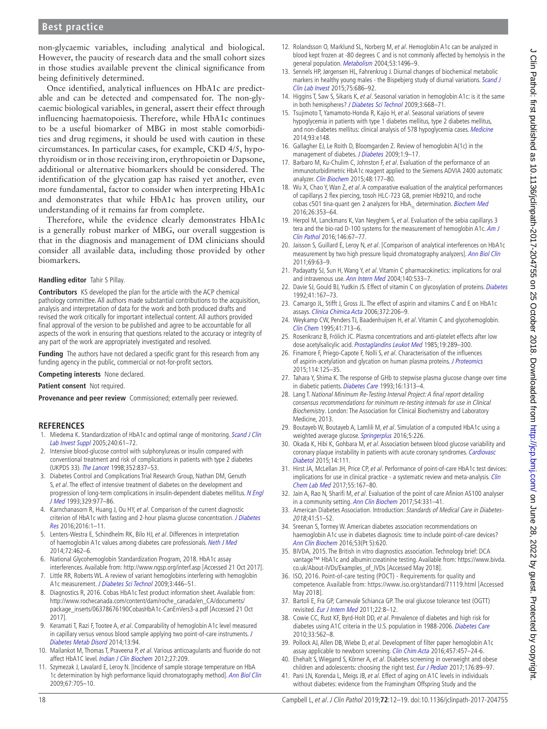## **Best practice**

non-glycaemic variables, including analytical and biological. However, the paucity of research data and the small cohort sizes in those studies available prevent the clinical significance from being definitively determined.

Once identified, analytical influences on HbA1c are predictable and can be detected and compensated for. The non-glycaemic biological variables, in general, assert their effect through influencing haematopoiesis. Therefore, while HbA1c continues to be a useful biomarker of MBG in most stable comorbidities and drug regimens, it should be used with caution in these circumstances. In particular cases, for example, CKD 4/5, hypothyroidism or in those receiving iron, erythropoietin or Dapsone, additional or alternative biomarkers should be considered. The identification of the glycation gap has raised yet another, even more fundamental, factor to consider when interpreting HbA1c and demonstrates that while HbA1c has proven utility, our understanding of it remains far from complete.

Therefore, while the evidence clearly demonstrates HbA1c is a generally robust marker of MBG, our overall suggestion is that in the diagnosis and management of DM clinicians should consider all available data, including those provided by other biomarkers.

#### **Handling editor** Tahir S Pillay.

**Contributors** KS developed the plan for the article with the ACP chemical pathology committee. All authors made substantial contributions to the acquisition, analysis and interpretation of data for the work and both produced drafts and revised the work critically for important intellectual content. All authors provided final approval of the version to be published and agree to be accountable for all aspects of the work in ensuring that questions related to the accuracy or integrity of any part of the work are appropriately investigated and resolved.

**Funding** The authors have not declared a specific grant for this research from any funding agency in the public, commercial or not-for-profit sectors.

**Competing interests** None declared.

**Patient consent** Not required.

Provenance and peer review Commissioned; externally peer reviewed.

#### **References**

- <span id="page-6-0"></span>1. Miedema K. Standardization of HbA1c and optimal range of monitoring. Scand J Clin [Lab Invest Suppl](http://dx.doi.org/10.1080/00365510500236143) 2005;240:61–72.
- <span id="page-6-1"></span>2. Intensive blood-glucose control with sulphonylureas or insulin compared with conventional treatment and risk of complications in patients with type 2 diabetes (UKPDS 33). [The Lancet](http://dx.doi.org/10.1016/S0140-6736(98)07019-6) 1998;352:837–53.
- 3. Diabetes Control and Complications Trial Research Group, Nathan DM, Genuth S, et al. The effect of intensive treatment of diabetes on the development and progression of long-term complications in insulin-dependent diabetes mellitus. N Engl [J Med](http://dx.doi.org/10.1056/NEJM199309303291401) 1993;329:977–86.
- <span id="page-6-2"></span>4. Karnchanasorn R, Huang J, Ou HY, et al. Comparison of the current diagnostic criterion of HbA1c with fasting and 2-hour plasma glucose concentration. J Diabetes [Res](http://dx.doi.org/10.1155/2016/6195494) 2016;2016:1–11.
- <span id="page-6-3"></span>Lenters-Westra E, Schindhelm RK, Bilo HJ, et al. Differences in interpretation of haemoglobin A1c values among diabetes care professionals. [Neth J Med](http://www.ncbi.nlm.nih.gov/pubmed/25431391) 2014;72:462–6.
- <span id="page-6-4"></span>6. National Glycohemoglobin Standardization Program, 2018. HbA1c assay interferences. Available from: <http://www.ngsp.org/interf.asp>[Accessed 21 Oct 2017].
- <span id="page-6-29"></span>7. Little RR, Roberts WL. A review of variant hemoglobins interfering with hemoglobin A1c measurement. [J Diabetes Sci Technol](http://dx.doi.org/10.1177/193229680900300307) 2009;3:446–51.
- <span id="page-6-5"></span>8. Diagnostics R, 2016. Cobas HbA1c Test product information sheet. Available from: [http://www.rochecanada.com/content/dam/roche\\_canada/en\\_CA/documents/](http://www.rochecanada.com/content/dam/roche_canada/en_CA/documents/package_inserts/06378676190CobasHbA1c-CanEnVers3-a.pdf) [package\\_inserts/06378676190CobasHbA1c-CanEnVers3-a.pdf](http://www.rochecanada.com/content/dam/roche_canada/en_CA/documents/package_inserts/06378676190CobasHbA1c-CanEnVers3-a.pdf) [Accessed 21 Oct 2017].
- <span id="page-6-6"></span>9. Keramati T, Razi F, Tootee A, et al. Comparability of hemoglobin A1c level measured in capillary versus venous blood sample applying two point-of-care instruments. J [Diabetes Metab Disord](http://dx.doi.org/10.1186/s40200-014-0094-1) 2014;13:94.
- <span id="page-6-7"></span>10. Mailankot M, Thomas T, Praveena P, et al. Various anticoagulants and fluoride do not affect HbA1C level. *[Indian J Clin Biochem](http://dx.doi.org/10.1007/s12291-012-0198-7)* 2012;27:209.
- <span id="page-6-8"></span>11. Szymezak J, Lavalard E, Leroy N. [Incidence of sample storage temperature on HbA 1c determination by high performance liquid chromatography method]. [Ann Biol Clin](http://dx.doi.org/10.1684/abc.2009.0381) 2009;67:705–10.
- <span id="page-6-9"></span>12. Rolandsson O, Marklund SL, Norberg M, et al. Hemoglobin A1c can be analyzed in blood kept frozen at -80 degrees C and is not commonly affected by hemolysis in the general population. [Metabolism](http://dx.doi.org/10.1016/j.metabol.2004.04.015) 2004;53:1496-9.
- <span id="page-6-10"></span>13. Sennels HP, Jørgensen HL, Fahrenkrug J. Diurnal changes of biochemical metabolic markers in healthy young males - the Bispebjerg study of diurnal variations. Scand J [Clin Lab Invest](http://dx.doi.org/10.3109/00365513.2015.1080385) 2015;75:686–92.
- <span id="page-6-11"></span>14. Higgins T, Saw S, Sikaris K, et al. Seasonal variation in hemoglobin A1c: is it the same in both hemispheres? [J Diabetes Sci Technol](http://dx.doi.org/10.1177/193229680900300408) 2009;3:668–71.
- 15. Tsujimoto T, Yamamoto-Honda R, Kajio H, et al. Seasonal variations of severe hypoglycemia in patients with type 1 diabetes mellitus, type 2 diabetes mellitus, and non-diabetes mellitus: clinical analysis of 578 hypoglycemia cases. [Medicine](http://dx.doi.org/10.1097/MD.0000000000000148) 2014;93:e148.
- <span id="page-6-12"></span>16. Gallagher EJ, Le Roith D, Bloomgarden Z. Review of hemoglobin A(1c) in the management of diabetes. [J Diabetes](http://dx.doi.org/10.1111/j.1753-0407.2009.00009.x) 2009;1:9-17.
- 17. Barbaro M, Ku-Chulim C, Johnston F, et al. Evaluation of the performance of an immunoturbidimetric HbA1c reagent applied to the Siemens ADVIA 2400 automatic analyzer. [Clin Biochem](http://dx.doi.org/10.1016/j.clinbiochem.2014.11.001) 2015;48:177–80.
- <span id="page-6-13"></span>18. Wu X, Chao Y, Wan Z, et al. A comparative evaluation of the analytical performances of capillarys 2 flex piercing, tosoh HLC-723 G8, premier Hb9210, and roche cobas c501 tina-quant gen 2 analyzers for HbA<sub>1c</sub> determination. [Biochem Med](http://dx.doi.org/10.11613/BM.2016.039) 2016;26:353–64.
- 19. Herpol M, Lanckmans K, Van Neyghem S, et al. Evaluation of the sebia capillarys 3 tera and the bio-rad D-100 systems for the measurement of hemoglobin  $\overline{A1c}$ . Am J [Clin Pathol](http://dx.doi.org/10.1093/ajcp/aqw081) 2016;146:67–77.
- 20. Jaisson S, Guillard E, Leroy N, et al. [Comparison of analytical interferences on HbA1c measurement by two high pressure liquid chromatography analyzers]. [Ann Biol Clin](http://dx.doi.org/10.1684/abc.2010.0511) 2011;69:63–9.
- 21. Padayatty SJ, Sun H, Wang Y, et al. Vitamin C pharmacokinetics: implications for oral and intravenous use. [Ann Intern Med](http://dx.doi.org/10.7326/0003-4819-140-7-200404060-00010) 2004;140:533-7.
- 22. Davie SJ, Gould BJ, Yudkin JS. Effect of vitamin C on glycosylation of proteins. [Diabetes](http://dx.doi.org/10.2337/diab.41.2.167) 1992;41:167–73.
- <span id="page-6-15"></span>23. Camargo JL, Stifft J, Gross JL. The effect of aspirin and vitamins C and E on HbA1c assays. [Clinica Chimica Acta](http://dx.doi.org/10.1016/j.cca.2006.03.031) 2006;372:206–9.
- 24. Weykamp CW, Penders TJ, Baadenhuijsen H, et al. Vitamin C and glycohemoglobin. [Clin Chem](http://www.ncbi.nlm.nih.gov/pubmed/7729050) 1995;41:713–6.
- <span id="page-6-14"></span>25. Rosenkranz B, Frölich JC. Plasma concentrations and anti-platelet effects after low dose acetylsalicylic acid. [Prostaglandins Leukot Med](http://dx.doi.org/10.1016/0262-1746(85)90142-8) 1985;19:289-300.
- 26. Finamore F, Priego-Capote F, Nolli S, et al. Characterisation of the influences of aspirin-acetylation and glycation on human plasma proteins. [J Proteomics](http://dx.doi.org/10.1016/j.jprot.2014.11.005) 2015;114:125–35.
- <span id="page-6-16"></span>27. Tahara Y, Shima K. The response of GHb to stepwise plasma glucose change over time in diabetic patients. [Diabetes Care](http://dx.doi.org/10.2337/diacare.16.9.1313) 1993;16:1313–4.
- <span id="page-6-17"></span>28. Lang T. National Minimum Re-Testing Interval Project: A final report detailing consensus recommendations for minimum re-testing intervals for use in Clinical Biochemistry. London: The Association for Clinical Biochemistry and Laboratory Medicine, 2013.
- <span id="page-6-18"></span>29. Boutayeb W, Boutayeb A, Lamlili M, et al. Simulation of a computed HbA1c using a weighted average glucose. [Springerplus](http://dx.doi.org/10.1186/s40064-016-1877-2) 2016;5:226.
- 30. Okada K, Hibi K, Gohbara M, et al. Association between blood glucose variability and coronary plaque instability in patients with acute coronary syndromes. Cardiovasc [Diabetol](http://dx.doi.org/10.1186/s12933-015-0275-3) 2015;14:111.
- <span id="page-6-19"></span>31. Hirst JA, McLellan JH, Price CP, et al. Performance of point-of-care HbA1c test devices: implications for use in clinical practice - a systematic review and meta-analysis. *Clin* [Chem Lab Med](http://dx.doi.org/10.1515/cclm-2016-0303) 2017;55:167–80.
- <span id="page-6-20"></span>32. Jain A, Rao N, Sharifi M, et al. Evaluation of the point of care Afinion AS100 analyser in a community setting. [Ann Clin Biochem](http://dx.doi.org/10.1177/0004563216661737) 2017;54:331-41.
- <span id="page-6-30"></span>33. American Diabetes Association. Introduction: Standards of Medical Care in Diabetes-2018;41:S1–S2.
- <span id="page-6-21"></span>34. Sreenan S, Tormey W. American diabetes association recommendations on haemoglobin A1c use in diabetes diagnosis: time to include point-of-care devices? [Ann Clin Biochem](http://dx.doi.org/10.1177/0004563215619440) 2016;53(Pt 5):620.
- <span id="page-6-22"></span>35. BIVDA, 2015. The British in vitro diagnostics association. Technology brief: DCA vantage™ HbA1c and albumin:creatinine testing. Available from: [https://www.bivda.](https://www.bivda.co.uk/About-IVDs/Examples_of_IVDs) [co.uk/About-IVDs/Examples\\_of\\_IVDs](https://www.bivda.co.uk/About-IVDs/Examples_of_IVDs) [Accessed May 2018].
- <span id="page-6-23"></span>36. ISO, 2016. Point-of-care testing (POCT) - Requirements for quality and competence. Available from: <https://www.iso.org/standard/71119.html>[Accessed May 2018].
- <span id="page-6-24"></span>37. Bartoli E, Fra GP, Carnevale Schianca GP. The oral glucose tolerance test (OGTT) revisited. [Eur J Intern Med](http://dx.doi.org/10.1016/j.ejim.2010.07.008) 2011;22:8–12.
- <span id="page-6-25"></span>38. Cowie CC, Rust KF, Byrd-Holt DD, et al. Prevalence of diabetes and high risk for diabetes using A1C criteria in the U.S. population in 1988-2006. [Diabetes Care](http://dx.doi.org/10.2337/dc09-1524) 2010;33:562–8.
- <span id="page-6-26"></span>39. Pollock AJ, Allen DB, Wiebe D, et al. Development of filter paper hemoglobin A1c assay applicable to newborn screening. [Clin Chim Acta](http://dx.doi.org/10.1016/j.cca.2016.03.014) 2016;457:457-24-6.
- <span id="page-6-27"></span>40. Ehehalt S, Wiegand S, Körner A, et al. Diabetes screening in overweight and obese children and adolescents: choosing the right test. [Eur J Pediatr](http://dx.doi.org/10.1007/s00431-016-2807-6) 2017;176:89-97.
- <span id="page-6-28"></span>41. Pani LN, Korenda L, Meigs JB, et al. Effect of aging on A1C levels in individuals without diabetes: evidence from the Framingham Offspring Study and the